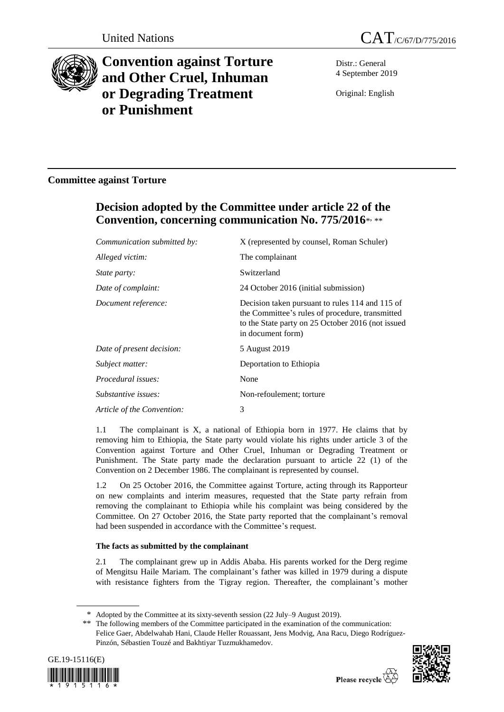



# **Convention against Torture and Other Cruel, Inhuman or Degrading Treatment or Punishment**

Distr.: General 4 September 2019

Original: English

## **Committee against Torture**

## **Decision adopted by the Committee under article 22 of the Convention, concerning communication No. 775/2016**\* , \*\*

| Communication submitted by: | X (represented by counsel, Roman Schuler)                                                                                                                                    |
|-----------------------------|------------------------------------------------------------------------------------------------------------------------------------------------------------------------------|
| Alleged victim:             | The complainant                                                                                                                                                              |
| <i>State party:</i>         | Switzerland                                                                                                                                                                  |
| Date of complaint:          | 24 October 2016 (initial submission)                                                                                                                                         |
| Document reference:         | Decision taken pursuant to rules 114 and 115 of<br>the Committee's rules of procedure, transmitted<br>to the State party on 25 October 2016 (not issued<br>in document form) |
| Date of present decision:   | 5 August 2019                                                                                                                                                                |
| Subject matter:             | Deportation to Ethiopia                                                                                                                                                      |
| Procedural issues:          | None                                                                                                                                                                         |
| Substantive issues:         | Non-refoulement; torture                                                                                                                                                     |
| Article of the Convention:  | 3                                                                                                                                                                            |

1.1 The complainant is X, a national of Ethiopia born in 1977. He claims that by removing him to Ethiopia, the State party would violate his rights under article 3 of the Convention against Torture and Other Cruel, Inhuman or Degrading Treatment or Punishment. The State party made the declaration pursuant to article 22 (1) of the Convention on 2 December 1986. The complainant is represented by counsel.

1.2 On 25 October 2016, the Committee against Torture, acting through its Rapporteur on new complaints and interim measures, requested that the State party refrain from removing the complainant to Ethiopia while his complaint was being considered by the Committee. On 27 October 2016, the State party reported that the complainant's removal had been suspended in accordance with the Committee's request.

### **The facts as submitted by the complainant**

2.1 The complainant grew up in Addis Ababa. His parents worked for the Derg regime of Mengitsu Haile Mariam. The complainant's father was killed in 1979 during a dispute with resistance fighters from the Tigray region. Thereafter, the complainant's mother

<sup>\*\*</sup> The following members of the Committee participated in the examination of the communication: Felice Gaer, Abdelwahab Hani, Claude Heller Rouassant, Jens Modvig, Ana Racu, Diego Rodríguez-Pinzón, Sébastien Touzé and Bakhtiyar Tuzmukhamedov.





<sup>\*</sup> Adopted by the Committee at its sixty-seventh session (22 July–9 August 2019).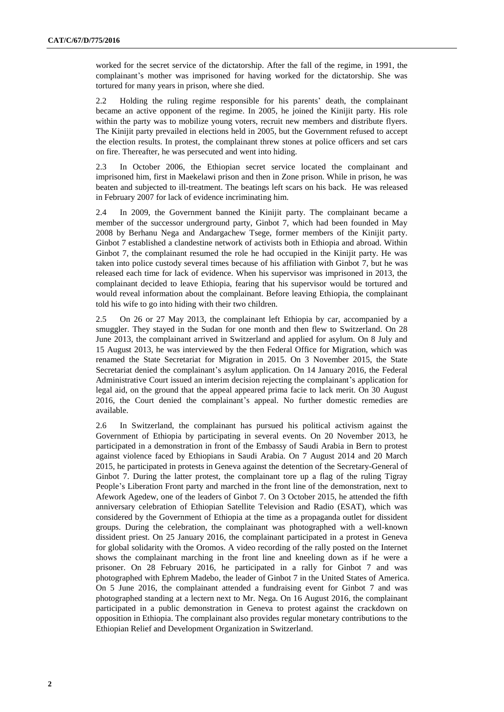worked for the secret service of the dictatorship. After the fall of the regime, in 1991, the complainant's mother was imprisoned for having worked for the dictatorship. She was tortured for many years in prison, where she died.

2.2 Holding the ruling regime responsible for his parents' death, the complainant became an active opponent of the regime. In 2005, he joined the Kinijit party. His role within the party was to mobilize young voters, recruit new members and distribute flyers. The Kinijit party prevailed in elections held in 2005, but the Government refused to accept the election results. In protest, the complainant threw stones at police officers and set cars on fire. Thereafter, he was persecuted and went into hiding.

2.3 In October 2006, the Ethiopian secret service located the complainant and imprisoned him, first in Maekelawi prison and then in Zone prison. While in prison, he was beaten and subjected to ill-treatment. The beatings left scars on his back. He was released in February 2007 for lack of evidence incriminating him.

2.4 In 2009, the Government banned the Kinijit party. The complainant became a member of the successor underground party, Ginbot 7, which had been founded in May 2008 by Berhanu Nega and Andargachew Tsege, former members of the Kinijit party. Ginbot 7 established a clandestine network of activists both in Ethiopia and abroad. Within Ginbot 7, the complainant resumed the role he had occupied in the Kinijit party. He was taken into police custody several times because of his affiliation with Ginbot 7, but he was released each time for lack of evidence. When his supervisor was imprisoned in 2013, the complainant decided to leave Ethiopia, fearing that his supervisor would be tortured and would reveal information about the complainant. Before leaving Ethiopia, the complainant told his wife to go into hiding with their two children.

2.5 On 26 or 27 May 2013, the complainant left Ethiopia by car, accompanied by a smuggler. They stayed in the Sudan for one month and then flew to Switzerland. On 28 June 2013, the complainant arrived in Switzerland and applied for asylum. On 8 July and 15 August 2013, he was interviewed by the then Federal Office for Migration, which was renamed the State Secretariat for Migration in 2015. On 3 November 2015, the State Secretariat denied the complainant's asylum application. On 14 January 2016, the Federal Administrative Court issued an interim decision rejecting the complainant's application for legal aid, on the ground that the appeal appeared prima facie to lack merit. On 30 August 2016, the Court denied the complainant's appeal. No further domestic remedies are available.

2.6 In Switzerland, the complainant has pursued his political activism against the Government of Ethiopia by participating in several events. On 20 November 2013, he participated in a demonstration in front of the Embassy of Saudi Arabia in Bern to protest against violence faced by Ethiopians in Saudi Arabia. On 7 August 2014 and 20 March 2015, he participated in protests in Geneva against the detention of the Secretary-General of Ginbot 7. During the latter protest, the complainant tore up a flag of the ruling Tigray People's Liberation Front party and marched in the front line of the demonstration, next to Afework Agedew, one of the leaders of Ginbot 7. On 3 October 2015, he attended the fifth anniversary celebration of Ethiopian Satellite Television and Radio (ESAT), which was considered by the Government of Ethiopia at the time as a propaganda outlet for dissident groups. During the celebration, the complainant was photographed with a well-known dissident priest. On 25 January 2016, the complainant participated in a protest in Geneva for global solidarity with the Oromos. A video recording of the rally posted on the Internet shows the complainant marching in the front line and kneeling down as if he were a prisoner. On 28 February 2016, he participated in a rally for Ginbot 7 and was photographed with Ephrem Madebo, the leader of Ginbot 7 in the United States of America. On 5 June 2016, the complainant attended a fundraising event for Ginbot 7 and was photographed standing at a lectern next to Mr. Nega. On 16 August 2016, the complainant participated in a public demonstration in Geneva to protest against the crackdown on opposition in Ethiopia. The complainant also provides regular monetary contributions to the Ethiopian Relief and Development Organization in Switzerland.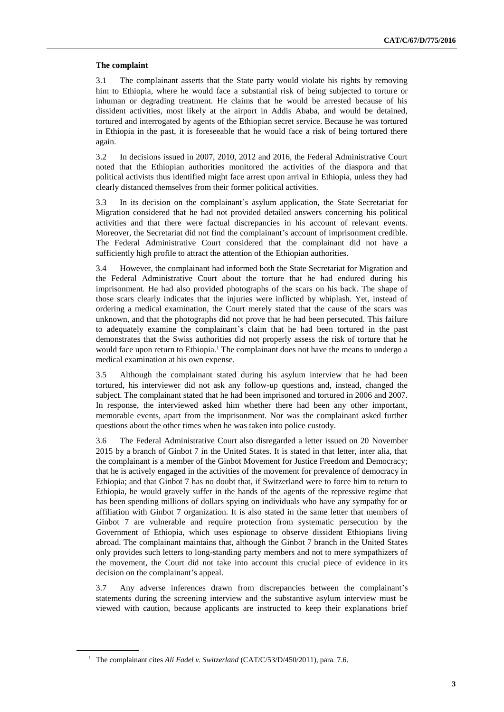#### **The complaint**

3.1 The complainant asserts that the State party would violate his rights by removing him to Ethiopia, where he would face a substantial risk of being subjected to torture or inhuman or degrading treatment. He claims that he would be arrested because of his dissident activities, most likely at the airport in Addis Ababa, and would be detained, tortured and interrogated by agents of the Ethiopian secret service. Because he was tortured in Ethiopia in the past, it is foreseeable that he would face a risk of being tortured there again.

3.2 In decisions issued in 2007, 2010, 2012 and 2016, the Federal Administrative Court noted that the Ethiopian authorities monitored the activities of the diaspora and that political activists thus identified might face arrest upon arrival in Ethiopia, unless they had clearly distanced themselves from their former political activities.

3.3 In its decision on the complainant's asylum application, the State Secretariat for Migration considered that he had not provided detailed answers concerning his political activities and that there were factual discrepancies in his account of relevant events. Moreover, the Secretariat did not find the complainant's account of imprisonment credible. The Federal Administrative Court considered that the complainant did not have a sufficiently high profile to attract the attention of the Ethiopian authorities.

3.4 However, the complainant had informed both the State Secretariat for Migration and the Federal Administrative Court about the torture that he had endured during his imprisonment. He had also provided photographs of the scars on his back. The shape of those scars clearly indicates that the injuries were inflicted by whiplash. Yet, instead of ordering a medical examination, the Court merely stated that the cause of the scars was unknown, and that the photographs did not prove that he had been persecuted. This failure to adequately examine the complainant's claim that he had been tortured in the past demonstrates that the Swiss authorities did not properly assess the risk of torture that he would face upon return to Ethiopia.<sup>1</sup> The complainant does not have the means to undergo a medical examination at his own expense.

3.5 Although the complainant stated during his asylum interview that he had been tortured, his interviewer did not ask any follow-up questions and, instead, changed the subject. The complainant stated that he had been imprisoned and tortured in 2006 and 2007. In response, the interviewed asked him whether there had been any other important, memorable events, apart from the imprisonment. Nor was the complainant asked further questions about the other times when he was taken into police custody.

3.6 The Federal Administrative Court also disregarded a letter issued on 20 November 2015 by a branch of Ginbot 7 in the United States. It is stated in that letter, inter alia, that the complainant is a member of the Ginbot Movement for Justice Freedom and Democracy; that he is actively engaged in the activities of the movement for prevalence of democracy in Ethiopia; and that Ginbot 7 has no doubt that, if Switzerland were to force him to return to Ethiopia, he would gravely suffer in the hands of the agents of the repressive regime that has been spending millions of dollars spying on individuals who have any sympathy for or affiliation with Ginbot 7 organization. It is also stated in the same letter that members of Ginbot 7 are vulnerable and require protection from systematic persecution by the Government of Ethiopia, which uses espionage to observe dissident Ethiopians living abroad. The complainant maintains that, although the Ginbot 7 branch in the United States only provides such letters to long-standing party members and not to mere sympathizers of the movement, the Court did not take into account this crucial piece of evidence in its decision on the complainant's appeal.

3.7 Any adverse inferences drawn from discrepancies between the complainant's statements during the screening interview and the substantive asylum interview must be viewed with caution, because applicants are instructed to keep their explanations brief

<sup>&</sup>lt;sup>1</sup> The complainant cites *Ali Fadel v. Switzerland* (CAT/C/53/D/450/2011), para. 7.6.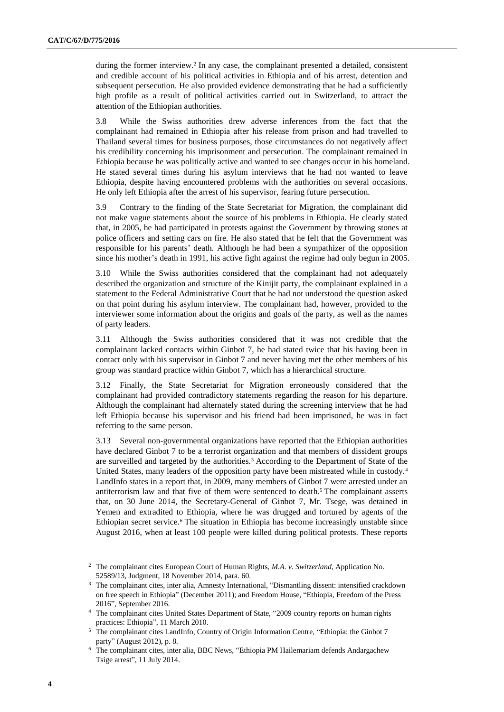during the former interview.<sup>2</sup> In any case, the complainant presented a detailed, consistent and credible account of his political activities in Ethiopia and of his arrest, detention and subsequent persecution. He also provided evidence demonstrating that he had a sufficiently high profile as a result of political activities carried out in Switzerland, to attract the attention of the Ethiopian authorities.

3.8 While the Swiss authorities drew adverse inferences from the fact that the complainant had remained in Ethiopia after his release from prison and had travelled to Thailand several times for business purposes, those circumstances do not negatively affect his credibility concerning his imprisonment and persecution. The complainant remained in Ethiopia because he was politically active and wanted to see changes occur in his homeland. He stated several times during his asylum interviews that he had not wanted to leave Ethiopia, despite having encountered problems with the authorities on several occasions. He only left Ethiopia after the arrest of his supervisor, fearing future persecution.

3.9 Contrary to the finding of the State Secretariat for Migration, the complainant did not make vague statements about the source of his problems in Ethiopia. He clearly stated that, in 2005, he had participated in protests against the Government by throwing stones at police officers and setting cars on fire. He also stated that he felt that the Government was responsible for his parents' death. Although he had been a sympathizer of the opposition since his mother's death in 1991, his active fight against the regime had only begun in 2005.

3.10 While the Swiss authorities considered that the complainant had not adequately described the organization and structure of the Kinijit party, the complainant explained in a statement to the Federal Administrative Court that he had not understood the question asked on that point during his asylum interview. The complainant had, however, provided to the interviewer some information about the origins and goals of the party, as well as the names of party leaders.

3.11 Although the Swiss authorities considered that it was not credible that the complainant lacked contacts within Ginbot 7, he had stated twice that his having been in contact only with his supervisor in Ginbot 7 and never having met the other members of his group was standard practice within Ginbot 7, which has a hierarchical structure.

3.12 Finally, the State Secretariat for Migration erroneously considered that the complainant had provided contradictory statements regarding the reason for his departure. Although the complainant had alternately stated during the screening interview that he had left Ethiopia because his supervisor and his friend had been imprisoned, he was in fact referring to the same person.

3.13 Several non-governmental organizations have reported that the Ethiopian authorities have declared Ginbot 7 to be a terrorist organization and that members of dissident groups are surveilled and targeted by the authorities.<sup>3</sup> According to the Department of State of the United States, many leaders of the opposition party have been mistreated while in custody.<sup>4</sup> LandInfo states in a report that, in 2009, many members of Ginbot 7 were arrested under an antiterrorism law and that five of them were sentenced to death.<sup>5</sup> The complainant asserts that, on 30 June 2014, the Secretary-General of Ginbot 7, Mr. Tsege, was detained in Yemen and extradited to Ethiopia, where he was drugged and tortured by agents of the Ethiopian secret service.<sup>6</sup> The situation in Ethiopia has become increasingly unstable since August 2016, when at least 100 people were killed during political protests. These reports

<sup>2</sup> The complainant cites European Court of Human Rights, *M.A. v. Switzerland*, Application No. 52589/13, Judgment, 18 November 2014, para. 60.

<sup>3</sup> The complainant cites, inter alia, Amnesty International, "Dismantling dissent: intensified crackdown on free speech in Ethiopia" (December 2011); and Freedom House, "Ethiopia, Freedom of the Press 2016", September 2016.

<sup>4</sup> The complainant cites United States Department of State, "2009 country reports on human rights practices: Ethiopia", 11 March 2010.

<sup>5</sup> The complainant cites LandInfo, Country of Origin Information Centre, "Ethiopia: the Ginbot 7 party" (August 2012), p. 8.

<sup>6</sup> The complainant cites, inter alia, BBC News, "Ethiopia PM Hailemariam defends Andargachew Tsige arrest", 11 July 2014.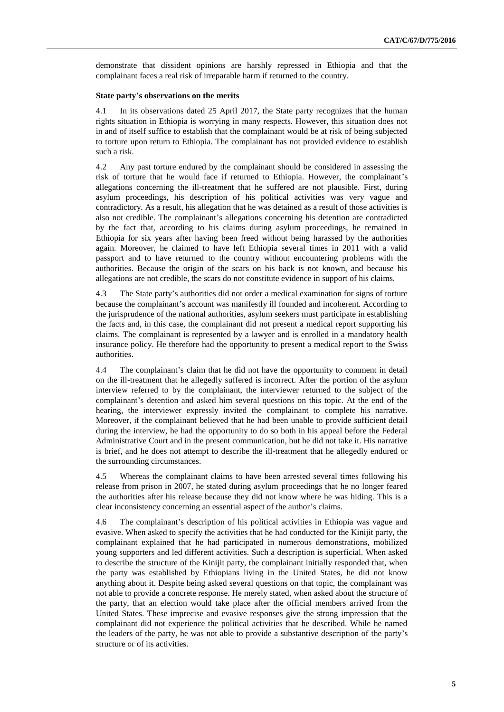demonstrate that dissident opinions are harshly repressed in Ethiopia and that the complainant faces a real risk of irreparable harm if returned to the country.

#### **State party's observations on the merits**

4.1 In its observations dated 25 April 2017, the State party recognizes that the human rights situation in Ethiopia is worrying in many respects. However, this situation does not in and of itself suffice to establish that the complainant would be at risk of being subjected to torture upon return to Ethiopia. The complainant has not provided evidence to establish such a risk.

4.2 Any past torture endured by the complainant should be considered in assessing the risk of torture that he would face if returned to Ethiopia. However, the complainant's allegations concerning the ill-treatment that he suffered are not plausible. First, during asylum proceedings, his description of his political activities was very vague and contradictory. As a result, his allegation that he was detained as a result of those activities is also not credible. The complainant's allegations concerning his detention are contradicted by the fact that, according to his claims during asylum proceedings, he remained in Ethiopia for six years after having been freed without being harassed by the authorities again. Moreover, he claimed to have left Ethiopia several times in 2011 with a valid passport and to have returned to the country without encountering problems with the authorities. Because the origin of the scars on his back is not known, and because his allegations are not credible, the scars do not constitute evidence in support of his claims.

4.3 The State party's authorities did not order a medical examination for signs of torture because the complainant's account was manifestly ill founded and incoherent. According to the jurisprudence of the national authorities, asylum seekers must participate in establishing the facts and, in this case, the complainant did not present a medical report supporting his claims. The complainant is represented by a lawyer and is enrolled in a mandatory health insurance policy. He therefore had the opportunity to present a medical report to the Swiss authorities.

4.4 The complainant's claim that he did not have the opportunity to comment in detail on the ill-treatment that he allegedly suffered is incorrect. After the portion of the asylum interview referred to by the complainant, the interviewer returned to the subject of the complainant's detention and asked him several questions on this topic. At the end of the hearing, the interviewer expressly invited the complainant to complete his narrative. Moreover, if the complainant believed that he had been unable to provide sufficient detail during the interview, he had the opportunity to do so both in his appeal before the Federal Administrative Court and in the present communication, but he did not take it. His narrative is brief, and he does not attempt to describe the ill-treatment that he allegedly endured or the surrounding circumstances.

4.5 Whereas the complainant claims to have been arrested several times following his release from prison in 2007, he stated during asylum proceedings that he no longer feared the authorities after his release because they did not know where he was hiding. This is a clear inconsistency concerning an essential aspect of the author's claims.

4.6 The complainant's description of his political activities in Ethiopia was vague and evasive. When asked to specify the activities that he had conducted for the Kinijit party, the complainant explained that he had participated in numerous demonstrations, mobilized young supporters and led different activities. Such a description is superficial. When asked to describe the structure of the Kinijit party, the complainant initially responded that, when the party was established by Ethiopians living in the United States, he did not know anything about it. Despite being asked several questions on that topic, the complainant was not able to provide a concrete response. He merely stated, when asked about the structure of the party, that an election would take place after the official members arrived from the United States. These imprecise and evasive responses give the strong impression that the complainant did not experience the political activities that he described. While he named the leaders of the party, he was not able to provide a substantive description of the party's structure or of its activities.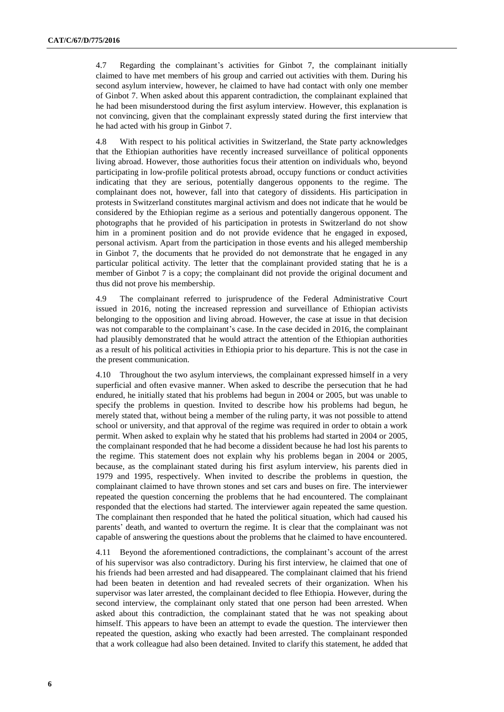4.7 Regarding the complainant's activities for Ginbot 7, the complainant initially claimed to have met members of his group and carried out activities with them. During his second asylum interview, however, he claimed to have had contact with only one member of Ginbot 7. When asked about this apparent contradiction, the complainant explained that he had been misunderstood during the first asylum interview. However, this explanation is not convincing, given that the complainant expressly stated during the first interview that he had acted with his group in Ginbot 7.

4.8 With respect to his political activities in Switzerland, the State party acknowledges that the Ethiopian authorities have recently increased surveillance of political opponents living abroad. However, those authorities focus their attention on individuals who, beyond participating in low-profile political protests abroad, occupy functions or conduct activities indicating that they are serious, potentially dangerous opponents to the regime. The complainant does not, however, fall into that category of dissidents. His participation in protests in Switzerland constitutes marginal activism and does not indicate that he would be considered by the Ethiopian regime as a serious and potentially dangerous opponent. The photographs that he provided of his participation in protests in Switzerland do not show him in a prominent position and do not provide evidence that he engaged in exposed, personal activism. Apart from the participation in those events and his alleged membership in Ginbot 7, the documents that he provided do not demonstrate that he engaged in any particular political activity. The letter that the complainant provided stating that he is a member of Ginbot 7 is a copy; the complainant did not provide the original document and thus did not prove his membership.

4.9 The complainant referred to jurisprudence of the Federal Administrative Court issued in 2016, noting the increased repression and surveillance of Ethiopian activists belonging to the opposition and living abroad. However, the case at issue in that decision was not comparable to the complainant's case. In the case decided in 2016, the complainant had plausibly demonstrated that he would attract the attention of the Ethiopian authorities as a result of his political activities in Ethiopia prior to his departure. This is not the case in the present communication.

4.10 Throughout the two asylum interviews, the complainant expressed himself in a very superficial and often evasive manner. When asked to describe the persecution that he had endured, he initially stated that his problems had begun in 2004 or 2005, but was unable to specify the problems in question. Invited to describe how his problems had begun, he merely stated that, without being a member of the ruling party, it was not possible to attend school or university, and that approval of the regime was required in order to obtain a work permit. When asked to explain why he stated that his problems had started in 2004 or 2005, the complainant responded that he had become a dissident because he had lost his parents to the regime. This statement does not explain why his problems began in 2004 or 2005, because, as the complainant stated during his first asylum interview, his parents died in 1979 and 1995, respectively. When invited to describe the problems in question, the complainant claimed to have thrown stones and set cars and buses on fire. The interviewer repeated the question concerning the problems that he had encountered. The complainant responded that the elections had started. The interviewer again repeated the same question. The complainant then responded that he hated the political situation, which had caused his parents' death, and wanted to overturn the regime. It is clear that the complainant was not capable of answering the questions about the problems that he claimed to have encountered.

4.11 Beyond the aforementioned contradictions, the complainant's account of the arrest of his supervisor was also contradictory. During his first interview, he claimed that one of his friends had been arrested and had disappeared. The complainant claimed that his friend had been beaten in detention and had revealed secrets of their organization. When his supervisor was later arrested, the complainant decided to flee Ethiopia. However, during the second interview, the complainant only stated that one person had been arrested. When asked about this contradiction, the complainant stated that he was not speaking about himself. This appears to have been an attempt to evade the question. The interviewer then repeated the question, asking who exactly had been arrested. The complainant responded that a work colleague had also been detained. Invited to clarify this statement, he added that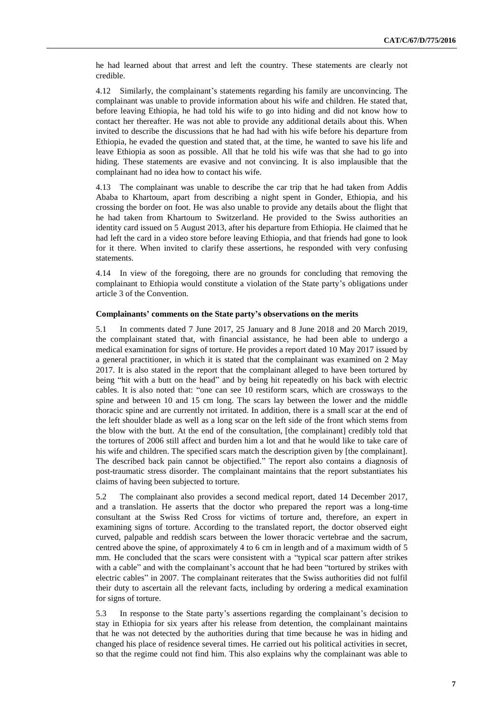he had learned about that arrest and left the country. These statements are clearly not credible.

4.12 Similarly, the complainant's statements regarding his family are unconvincing. The complainant was unable to provide information about his wife and children. He stated that, before leaving Ethiopia, he had told his wife to go into hiding and did not know how to contact her thereafter. He was not able to provide any additional details about this. When invited to describe the discussions that he had had with his wife before his departure from Ethiopia, he evaded the question and stated that, at the time, he wanted to save his life and leave Ethiopia as soon as possible. All that he told his wife was that she had to go into hiding. These statements are evasive and not convincing. It is also implausible that the complainant had no idea how to contact his wife.

4.13 The complainant was unable to describe the car trip that he had taken from Addis Ababa to Khartoum, apart from describing a night spent in Gonder, Ethiopia, and his crossing the border on foot. He was also unable to provide any details about the flight that he had taken from Khartoum to Switzerland. He provided to the Swiss authorities an identity card issued on 5 August 2013, after his departure from Ethiopia. He claimed that he had left the card in a video store before leaving Ethiopia, and that friends had gone to look for it there. When invited to clarify these assertions, he responded with very confusing statements.

4.14 In view of the foregoing, there are no grounds for concluding that removing the complainant to Ethiopia would constitute a violation of the State party's obligations under article 3 of the Convention.

#### **Complainants' comments on the State party's observations on the merits**

5.1 In comments dated 7 June 2017, 25 January and 8 June 2018 and 20 March 2019, the complainant stated that, with financial assistance, he had been able to undergo a medical examination for signs of torture. He provides a report dated 10 May 2017 issued by a general practitioner, in which it is stated that the complainant was examined on 2 May 2017. It is also stated in the report that the complainant alleged to have been tortured by being "hit with a butt on the head" and by being hit repeatedly on his back with electric cables. It is also noted that: "one can see 10 restiform scars, which are crossways to the spine and between 10 and 15 cm long. The scars lay between the lower and the middle thoracic spine and are currently not irritated. In addition, there is a small scar at the end of the left shoulder blade as well as a long scar on the left side of the front which stems from the blow with the butt. At the end of the consultation, [the complainant] credibly told that the tortures of 2006 still affect and burden him a lot and that he would like to take care of his wife and children. The specified scars match the description given by [the complainant]. The described back pain cannot be objectified." The report also contains a diagnosis of post-traumatic stress disorder. The complainant maintains that the report substantiates his claims of having been subjected to torture.

5.2 The complainant also provides a second medical report, dated 14 December 2017, and a translation. He asserts that the doctor who prepared the report was a long-time consultant at the Swiss Red Cross for victims of torture and, therefore, an expert in examining signs of torture. According to the translated report, the doctor observed eight curved, palpable and reddish scars between the lower thoracic vertebrae and the sacrum, centred above the spine, of approximately 4 to 6 cm in length and of a maximum width of 5 mm. He concluded that the scars were consistent with a "typical scar pattern after strikes with a cable" and with the complainant's account that he had been "tortured by strikes with electric cables" in 2007. The complainant reiterates that the Swiss authorities did not fulfil their duty to ascertain all the relevant facts, including by ordering a medical examination for signs of torture.

5.3 In response to the State party's assertions regarding the complainant's decision to stay in Ethiopia for six years after his release from detention, the complainant maintains that he was not detected by the authorities during that time because he was in hiding and changed his place of residence several times. He carried out his political activities in secret, so that the regime could not find him. This also explains why the complainant was able to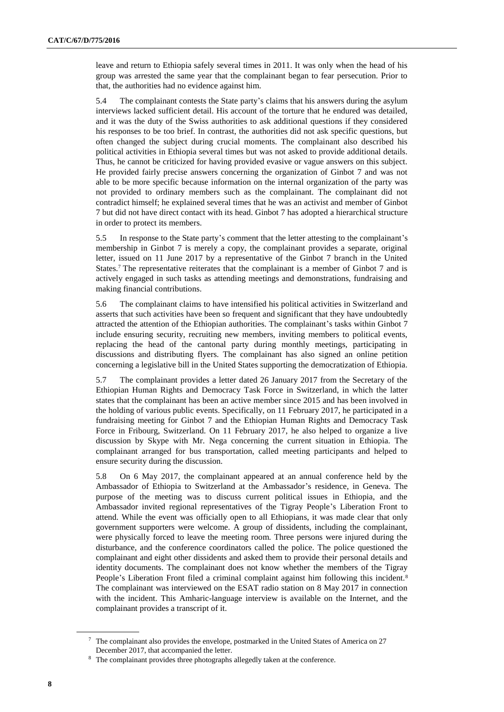leave and return to Ethiopia safely several times in 2011. It was only when the head of his group was arrested the same year that the complainant began to fear persecution. Prior to that, the authorities had no evidence against him.

5.4 The complainant contests the State party's claims that his answers during the asylum interviews lacked sufficient detail. His account of the torture that he endured was detailed, and it was the duty of the Swiss authorities to ask additional questions if they considered his responses to be too brief. In contrast, the authorities did not ask specific questions, but often changed the subject during crucial moments. The complainant also described his political activities in Ethiopia several times but was not asked to provide additional details. Thus, he cannot be criticized for having provided evasive or vague answers on this subject. He provided fairly precise answers concerning the organization of Ginbot 7 and was not able to be more specific because information on the internal organization of the party was not provided to ordinary members such as the complainant. The complainant did not contradict himself; he explained several times that he was an activist and member of Ginbot 7 but did not have direct contact with its head. Ginbot 7 has adopted a hierarchical structure in order to protect its members.

5.5 In response to the State party's comment that the letter attesting to the complainant's membership in Ginbot 7 is merely a copy, the complainant provides a separate, original letter, issued on 11 June 2017 by a representative of the Ginbot 7 branch in the United States.<sup>7</sup> The representative reiterates that the complainant is a member of Ginbot 7 and is actively engaged in such tasks as attending meetings and demonstrations, fundraising and making financial contributions.

5.6 The complainant claims to have intensified his political activities in Switzerland and asserts that such activities have been so frequent and significant that they have undoubtedly attracted the attention of the Ethiopian authorities. The complainant's tasks within Ginbot 7 include ensuring security, recruiting new members, inviting members to political events, replacing the head of the cantonal party during monthly meetings, participating in discussions and distributing flyers. The complainant has also signed an online petition concerning a legislative bill in the United States supporting the democratization of Ethiopia.

5.7 The complainant provides a letter dated 26 January 2017 from the Secretary of the Ethiopian Human Rights and Democracy Task Force in Switzerland, in which the latter states that the complainant has been an active member since 2015 and has been involved in the holding of various public events. Specifically, on 11 February 2017, he participated in a fundraising meeting for Ginbot 7 and the Ethiopian Human Rights and Democracy Task Force in Fribourg, Switzerland. On 11 February 2017, he also helped to organize a live discussion by Skype with Mr. Nega concerning the current situation in Ethiopia. The complainant arranged for bus transportation, called meeting participants and helped to ensure security during the discussion.

5.8 On 6 May 2017, the complainant appeared at an annual conference held by the Ambassador of Ethiopia to Switzerland at the Ambassador's residence, in Geneva. The purpose of the meeting was to discuss current political issues in Ethiopia, and the Ambassador invited regional representatives of the Tigray People's Liberation Front to attend. While the event was officially open to all Ethiopians, it was made clear that only government supporters were welcome. A group of dissidents, including the complainant, were physically forced to leave the meeting room. Three persons were injured during the disturbance, and the conference coordinators called the police. The police questioned the complainant and eight other dissidents and asked them to provide their personal details and identity documents. The complainant does not know whether the members of the Tigray People's Liberation Front filed a criminal complaint against him following this incident.<sup>8</sup> The complainant was interviewed on the ESAT radio station on 8 May 2017 in connection with the incident. This Amharic-language interview is available on the Internet, and the complainant provides a transcript of it.

<sup>7</sup> The complainant also provides the envelope, postmarked in the United States of America on 27 December 2017, that accompanied the letter.

<sup>&</sup>lt;sup>8</sup> The complainant provides three photographs allegedly taken at the conference.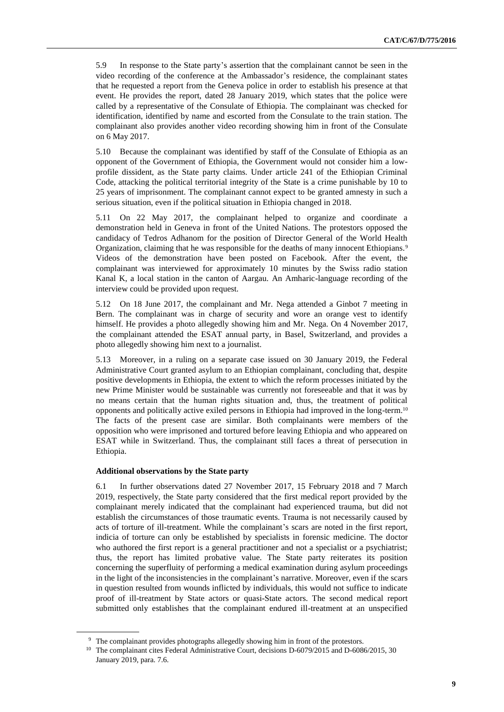5.9 In response to the State party's assertion that the complainant cannot be seen in the video recording of the conference at the Ambassador's residence, the complainant states that he requested a report from the Geneva police in order to establish his presence at that event. He provides the report, dated 28 January 2019, which states that the police were called by a representative of the Consulate of Ethiopia. The complainant was checked for identification, identified by name and escorted from the Consulate to the train station. The complainant also provides another video recording showing him in front of the Consulate on 6 May 2017.

5.10 Because the complainant was identified by staff of the Consulate of Ethiopia as an opponent of the Government of Ethiopia, the Government would not consider him a lowprofile dissident, as the State party claims. Under article 241 of the Ethiopian Criminal Code, attacking the political territorial integrity of the State is a crime punishable by 10 to 25 years of imprisonment. The complainant cannot expect to be granted amnesty in such a serious situation, even if the political situation in Ethiopia changed in 2018.

5.11 On 22 May 2017, the complainant helped to organize and coordinate a demonstration held in Geneva in front of the United Nations. The protestors opposed the candidacy of Tedros Adhanom for the position of Director General of the World Health Organization, claiming that he was responsible for the deaths of many innocent Ethiopians.<sup>9</sup> Videos of the demonstration have been posted on Facebook. After the event, the complainant was interviewed for approximately 10 minutes by the Swiss radio station Kanal K, a local station in the canton of Aargau. An Amharic-language recording of the interview could be provided upon request.

5.12 On 18 June 2017, the complainant and Mr. Nega attended a Ginbot 7 meeting in Bern. The complainant was in charge of security and wore an orange vest to identify himself. He provides a photo allegedly showing him and Mr. Nega. On 4 November 2017, the complainant attended the ESAT annual party, in Basel, Switzerland, and provides a photo allegedly showing him next to a journalist.

5.13 Moreover, in a ruling on a separate case issued on 30 January 2019, the Federal Administrative Court granted asylum to an Ethiopian complainant, concluding that, despite positive developments in Ethiopia, the extent to which the reform processes initiated by the new Prime Minister would be sustainable was currently not foreseeable and that it was by no means certain that the human rights situation and, thus, the treatment of political opponents and politically active exiled persons in Ethiopia had improved in the long-term.<sup>10</sup> The facts of the present case are similar. Both complainants were members of the opposition who were imprisoned and tortured before leaving Ethiopia and who appeared on ESAT while in Switzerland. Thus, the complainant still faces a threat of persecution in Ethiopia.

#### **Additional observations by the State party**

6.1 In further observations dated 27 November 2017, 15 February 2018 and 7 March 2019, respectively, the State party considered that the first medical report provided by the complainant merely indicated that the complainant had experienced trauma, but did not establish the circumstances of those traumatic events. Trauma is not necessarily caused by acts of torture of ill-treatment. While the complainant's scars are noted in the first report, indicia of torture can only be established by specialists in forensic medicine. The doctor who authored the first report is a general practitioner and not a specialist or a psychiatrist; thus, the report has limited probative value. The State party reiterates its position concerning the superfluity of performing a medical examination during asylum proceedings in the light of the inconsistencies in the complainant's narrative. Moreover, even if the scars in question resulted from wounds inflicted by individuals, this would not suffice to indicate proof of ill-treatment by State actors or quasi-State actors. The second medical report submitted only establishes that the complainant endured ill-treatment at an unspecified

<sup>&</sup>lt;sup>9</sup> The complainant provides photographs allegedly showing him in front of the protestors.

<sup>&</sup>lt;sup>10</sup> The complainant cites Federal Administrative Court, decisions D-6079/2015 and D-6086/2015, 30 January 2019, para. 7.6.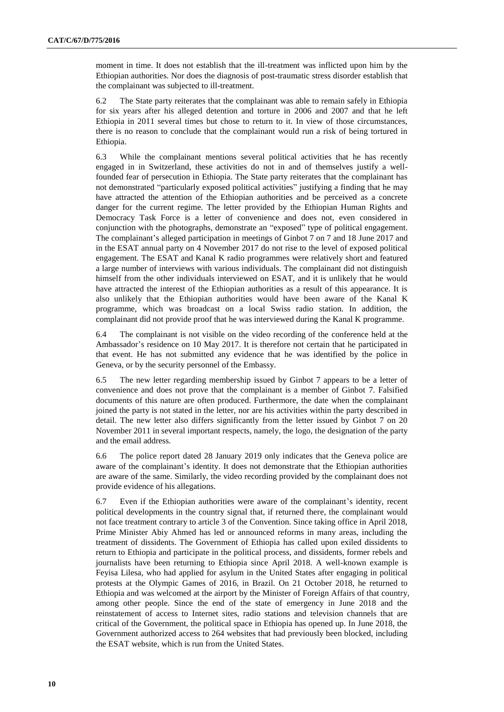moment in time. It does not establish that the ill-treatment was inflicted upon him by the Ethiopian authorities. Nor does the diagnosis of post-traumatic stress disorder establish that the complainant was subjected to ill-treatment.

6.2 The State party reiterates that the complainant was able to remain safely in Ethiopia for six years after his alleged detention and torture in 2006 and 2007 and that he left Ethiopia in 2011 several times but chose to return to it. In view of those circumstances, there is no reason to conclude that the complainant would run a risk of being tortured in Ethiopia.

6.3 While the complainant mentions several political activities that he has recently engaged in in Switzerland, these activities do not in and of themselves justify a wellfounded fear of persecution in Ethiopia. The State party reiterates that the complainant has not demonstrated "particularly exposed political activities" justifying a finding that he may have attracted the attention of the Ethiopian authorities and be perceived as a concrete danger for the current regime. The letter provided by the Ethiopian Human Rights and Democracy Task Force is a letter of convenience and does not, even considered in conjunction with the photographs, demonstrate an "exposed" type of political engagement. The complainant's alleged participation in meetings of Ginbot 7 on 7 and 18 June 2017 and in the ESAT annual party on 4 November 2017 do not rise to the level of exposed political engagement. The ESAT and Kanal K radio programmes were relatively short and featured a large number of interviews with various individuals. The complainant did not distinguish himself from the other individuals interviewed on ESAT, and it is unlikely that he would have attracted the interest of the Ethiopian authorities as a result of this appearance. It is also unlikely that the Ethiopian authorities would have been aware of the Kanal K programme, which was broadcast on a local Swiss radio station. In addition, the complainant did not provide proof that he was interviewed during the Kanal K programme.

6.4 The complainant is not visible on the video recording of the conference held at the Ambassador's residence on 10 May 2017. It is therefore not certain that he participated in that event. He has not submitted any evidence that he was identified by the police in Geneva, or by the security personnel of the Embassy.

6.5 The new letter regarding membership issued by Ginbot 7 appears to be a letter of convenience and does not prove that the complainant is a member of Ginbot 7. Falsified documents of this nature are often produced. Furthermore, the date when the complainant joined the party is not stated in the letter, nor are his activities within the party described in detail. The new letter also differs significantly from the letter issued by Ginbot 7 on 20 November 2011 in several important respects, namely, the logo, the designation of the party and the email address.

6.6 The police report dated 28 January 2019 only indicates that the Geneva police are aware of the complainant's identity. It does not demonstrate that the Ethiopian authorities are aware of the same. Similarly, the video recording provided by the complainant does not provide evidence of his allegations.

6.7 Even if the Ethiopian authorities were aware of the complainant's identity, recent political developments in the country signal that, if returned there, the complainant would not face treatment contrary to article 3 of the Convention. Since taking office in April 2018, Prime Minister Abiy Ahmed has led or announced reforms in many areas, including the treatment of dissidents. The Government of Ethiopia has called upon exiled dissidents to return to Ethiopia and participate in the political process, and dissidents, former rebels and journalists have been returning to Ethiopia since April 2018. A well-known example is Feyisa Lilesa, who had applied for asylum in the United States after engaging in political protests at the Olympic Games of 2016, in Brazil. On 21 October 2018, he returned to Ethiopia and was welcomed at the airport by the Minister of Foreign Affairs of that country, among other people. Since the end of the state of emergency in June 2018 and the reinstatement of access to Internet sites, radio stations and television channels that are critical of the Government, the political space in Ethiopia has opened up. In June 2018, the Government authorized access to 264 websites that had previously been blocked, including the ESAT website, which is run from the United States.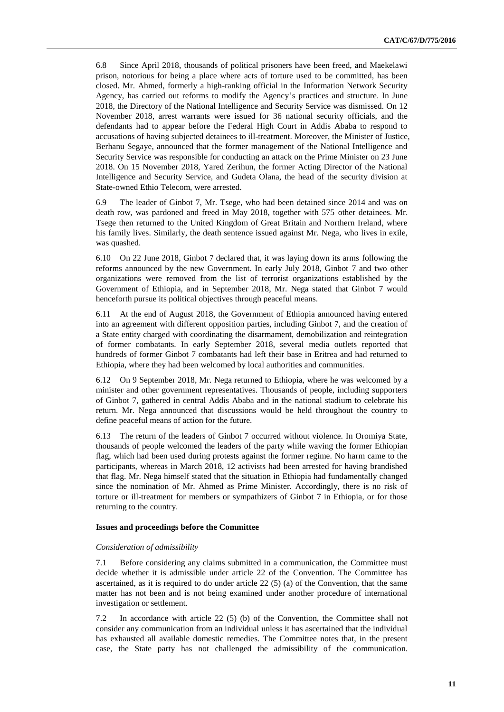6.8 Since April 2018, thousands of political prisoners have been freed, and Maekelawi prison, notorious for being a place where acts of torture used to be committed, has been closed. Mr. Ahmed, formerly a high-ranking official in the Information Network Security Agency, has carried out reforms to modify the Agency's practices and structure. In June 2018, the Directory of the National Intelligence and Security Service was dismissed. On 12 November 2018, arrest warrants were issued for 36 national security officials, and the defendants had to appear before the Federal High Court in Addis Ababa to respond to accusations of having subjected detainees to ill-treatment. Moreover, the Minister of Justice, Berhanu Segaye, announced that the former management of the National Intelligence and Security Service was responsible for conducting an attack on the Prime Minister on 23 June 2018. On 15 November 2018, Yared Zerihun, the former Acting Director of the National Intelligence and Security Service, and Gudeta Olana, the head of the security division at State-owned Ethio Telecom, were arrested.

6.9 The leader of Ginbot 7, Mr. Tsege, who had been detained since 2014 and was on death row, was pardoned and freed in May 2018, together with 575 other detainees. Mr. Tsege then returned to the United Kingdom of Great Britain and Northern Ireland, where his family lives. Similarly, the death sentence issued against Mr. Nega, who lives in exile, was quashed.

6.10 On 22 June 2018, Ginbot 7 declared that, it was laying down its arms following the reforms announced by the new Government. In early July 2018, Ginbot 7 and two other organizations were removed from the list of terrorist organizations established by the Government of Ethiopia, and in September 2018, Mr. Nega stated that Ginbot 7 would henceforth pursue its political objectives through peaceful means.

6.11 At the end of August 2018, the Government of Ethiopia announced having entered into an agreement with different opposition parties, including Ginbot 7, and the creation of a State entity charged with coordinating the disarmament, demobilization and reintegration of former combatants. In early September 2018, several media outlets reported that hundreds of former Ginbot 7 combatants had left their base in Eritrea and had returned to Ethiopia, where they had been welcomed by local authorities and communities.

6.12 On 9 September 2018, Mr. Nega returned to Ethiopia, where he was welcomed by a minister and other government representatives. Thousands of people, including supporters of Ginbot 7, gathered in central Addis Ababa and in the national stadium to celebrate his return. Mr. Nega announced that discussions would be held throughout the country to define peaceful means of action for the future.

6.13 The return of the leaders of Ginbot 7 occurred without violence. In Oromiya State, thousands of people welcomed the leaders of the party while waving the former Ethiopian flag, which had been used during protests against the former regime. No harm came to the participants, whereas in March 2018, 12 activists had been arrested for having brandished that flag. Mr. Nega himself stated that the situation in Ethiopia had fundamentally changed since the nomination of Mr. Ahmed as Prime Minister. Accordingly, there is no risk of torture or ill-treatment for members or sympathizers of Ginbot 7 in Ethiopia, or for those returning to the country.

#### **Issues and proceedings before the Committee**

#### *Consideration of admissibility*

7.1 Before considering any claims submitted in a communication, the Committee must decide whether it is admissible under article 22 of the Convention. The Committee has ascertained, as it is required to do under article 22 (5) (a) of the Convention, that the same matter has not been and is not being examined under another procedure of international investigation or settlement.

7.2 In accordance with article 22 (5) (b) of the Convention, the Committee shall not consider any communication from an individual unless it has ascertained that the individual has exhausted all available domestic remedies. The Committee notes that, in the present case, the State party has not challenged the admissibility of the communication.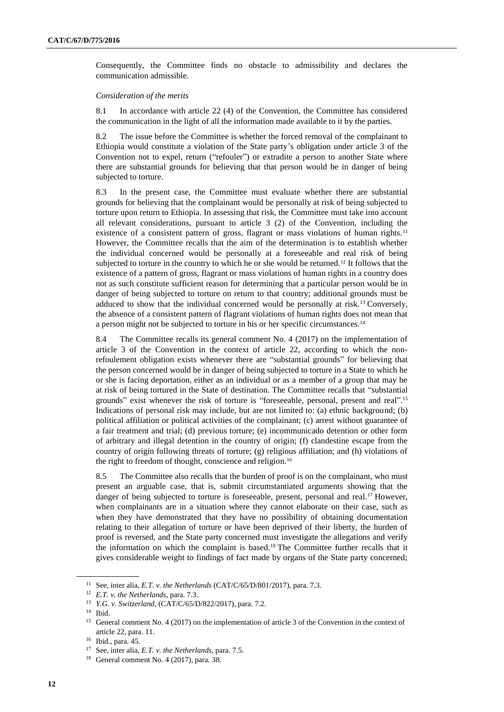Consequently, the Committee finds no obstacle to admissibility and declares the communication admissible.

#### *Consideration of the merits*

8.1 In accordance with article 22 (4) of the Convention, the Committee has considered the communication in the light of all the information made available to it by the parties.

8.2 The issue before the Committee is whether the forced removal of the complainant to Ethiopia would constitute a violation of the State party's obligation under article 3 of the Convention not to expel, return ("refouler") or extradite a person to another State where there are substantial grounds for believing that that person would be in danger of being subjected to torture.

8.3 In the present case, the Committee must evaluate whether there are substantial grounds for believing that the complainant would be personally at risk of being subjected to torture upon return to Ethiopia. In assessing that risk, the Committee must take into account all relevant considerations, pursuant to article 3 (2) of the Convention, including the existence of a consistent pattern of gross, flagrant or mass violations of human rights.<sup>11</sup> However, the Committee recalls that the aim of the determination is to establish whether the individual concerned would be personally at a foreseeable and real risk of being subjected to torture in the country to which he or she would be returned.<sup>12</sup> It follows that the existence of a pattern of gross, flagrant or mass violations of human rights in a country does not as such constitute sufficient reason for determining that a particular person would be in danger of being subjected to torture on return to that country; additional grounds must be adduced to show that the individual concerned would be personally at risk.<sup>13</sup> Conversely, the absence of a consistent pattern of flagrant violations of human rights does not mean that a person might not be subjected to torture in his or her specific circumstances.<sup>14</sup>

8.4 The Committee recalls its general comment No. 4 (2017) on the implementation of article 3 of the Convention in the context of article 22, according to which the nonrefoulement obligation exists whenever there are "substantial grounds" for believing that the person concerned would be in danger of being subjected to torture in a State to which he or she is facing deportation, either as an individual or as a member of a group that may be at risk of being tortured in the State of destination. The Committee recalls that "substantial grounds" exist whenever the risk of torture is "foreseeable, personal, present and real". 15 Indications of personal risk may include, but are not limited to: (a) ethnic background; (b) political affiliation or political activities of the complainant; (c) arrest without guarantee of a fair treatment and trial; (d) previous torture; (e) incommunicado detention or other form of arbitrary and illegal detention in the country of origin; (f) clandestine escape from the country of origin following threats of torture; (g) religious affiliation; and (h) violations of the right to freedom of thought, conscience and religion.<sup>16</sup>

8.5 The Committee also recalls that the burden of proof is on the complainant, who must present an arguable case, that is, submit circumstantiated arguments showing that the danger of being subjected to torture is foreseeable, present, personal and real.<sup>17</sup> However, when complainants are in a situation where they cannot elaborate on their case, such as when they have demonstrated that they have no possibility of obtaining documentation relating to their allegation of torture or have been deprived of their liberty, the burden of proof is reversed, and the State party concerned must investigate the allegations and verify the information on which the complaint is based.<sup>18</sup> The Committee further recalls that it gives considerable weight to findings of fact made by organs of the State party concerned;

<sup>11</sup> See, inter alia, *E.T. v. the Netherlands* [\(CAT/C/65/D/801/2017\)](http://undocs.org/en/CAT/C/65/D/801/2017), para. 7.3.

<sup>12</sup> *E.T. v. the Netherlands*, para. 7.3*.*

<sup>13</sup> *Y.G. v. Switzerland*, [\(CAT/C/65/D/822/2017\)](http://undocs.org/en/CAT/C/65/D/822/2017), para. 7.2.

<sup>14</sup> Ibid.

<sup>&</sup>lt;sup>15</sup> General comment No. 4 (2017) on the implementation of article 3 of the Convention in the context of article 22, para. 11.

<sup>16</sup> Ibid., para. 45.

<sup>17</sup> See, inter alia, *E.T. v. the Netherlands*, para. 7.5.

<sup>&</sup>lt;sup>18</sup> General comment No. 4 (2017), para. 38.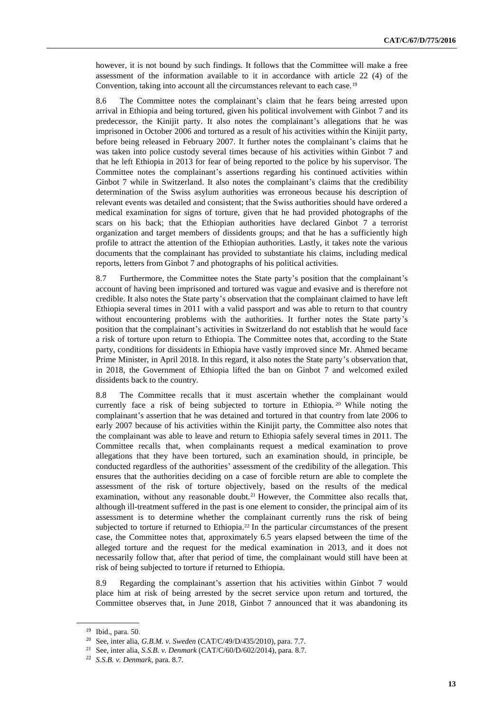however, it is not bound by such findings. It follows that the Committee will make a free assessment of the information available to it in accordance with article 22 (4) of the Convention, taking into account all the circumstances relevant to each case.<sup>19</sup>

8.6 The Committee notes the complainant's claim that he fears being arrested upon arrival in Ethiopia and being tortured, given his political involvement with Ginbot 7 and its predecessor, the Kinijit party. It also notes the complainant's allegations that he was imprisoned in October 2006 and tortured as a result of his activities within the Kinijit party, before being released in February 2007. It further notes the complainant's claims that he was taken into police custody several times because of his activities within Ginbot 7 and that he left Ethiopia in 2013 for fear of being reported to the police by his supervisor. The Committee notes the complainant's assertions regarding his continued activities within Ginbot 7 while in Switzerland. It also notes the complainant's claims that the credibility determination of the Swiss asylum authorities was erroneous because his description of relevant events was detailed and consistent; that the Swiss authorities should have ordered a medical examination for signs of torture, given that he had provided photographs of the scars on his back; that the Ethiopian authorities have declared Ginbot 7 a terrorist organization and target members of dissidents groups; and that he has a sufficiently high profile to attract the attention of the Ethiopian authorities. Lastly, it takes note the various documents that the complainant has provided to substantiate his claims, including medical reports, letters from Ginbot 7 and photographs of his political activities.

8.7 Furthermore, the Committee notes the State party's position that the complainant's account of having been imprisoned and tortured was vague and evasive and is therefore not credible. It also notes the State party's observation that the complainant claimed to have left Ethiopia several times in 2011 with a valid passport and was able to return to that country without encountering problems with the authorities. It further notes the State party's position that the complainant's activities in Switzerland do not establish that he would face a risk of torture upon return to Ethiopia. The Committee notes that, according to the State party, conditions for dissidents in Ethiopia have vastly improved since Mr. Ahmed became Prime Minister, in April 2018. In this regard, it also notes the State party's observation that, in 2018, the Government of Ethiopia lifted the ban on Ginbot 7 and welcomed exiled dissidents back to the country.

8.8 The Committee recalls that it must ascertain whether the complainant would currently face a risk of being subjected to torture in Ethiopia. <sup>20</sup> While noting the complainant's assertion that he was detained and tortured in that country from late 2006 to early 2007 because of his activities within the Kinijit party, the Committee also notes that the complainant was able to leave and return to Ethiopia safely several times in 2011. The Committee recalls that, when complainants request a medical examination to prove allegations that they have been tortured, such an examination should, in principle, be conducted regardless of the authorities' assessment of the credibility of the allegation. This ensures that the authorities deciding on a case of forcible return are able to complete the assessment of the risk of torture objectively, based on the results of the medical examination, without any reasonable doubt.<sup>21</sup> However, the Committee also recalls that, although ill-treatment suffered in the past is one element to consider, the principal aim of its assessment is to determine whether the complainant currently runs the risk of being subjected to torture if returned to Ethiopia.<sup>22</sup> In the particular circumstances of the present case, the Committee notes that, approximately 6.5 years elapsed between the time of the alleged torture and the request for the medical examination in 2013, and it does not necessarily follow that, after that period of time, the complainant would still have been at risk of being subjected to torture if returned to Ethiopia.

8.9 Regarding the complainant's assertion that his activities within Ginbot 7 would place him at risk of being arrested by the secret service upon return and tortured, the Committee observes that, in June 2018, Ginbot 7 announced that it was abandoning its

<sup>19</sup> Ibid., para. 50.

<sup>20</sup> See, inter alia, *G.B.M. v. Sweden* (CAT/C/49/D/435/2010), para. 7.7.

<sup>21</sup> See, inter alia, *S.S.B. v. Denmark* (CAT/C/60/D/602/2014), para. 8.7.

<sup>22</sup> *S.S.B. v. Denmark*, para. 8.7.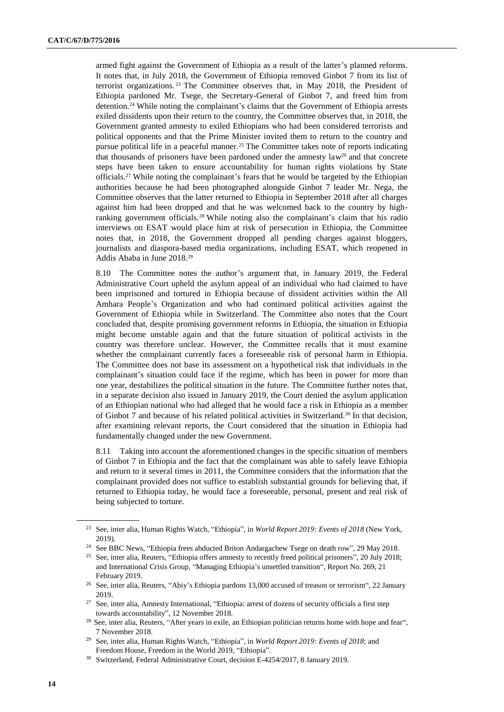armed fight against the Government of Ethiopia as a result of the latter's planned reforms. It notes that, in July 2018, the Government of Ethiopia removed Ginbot 7 from its list of terrorist organizations. <sup>23</sup> The Committee observes that, in May 2018, the President of Ethiopia pardoned Mr. Tsege, the Secretary-General of Ginbot 7, and freed him from detention.<sup>24</sup> While noting the complainant's claims that the Government of Ethiopia arrests exiled dissidents upon their return to the country, the Committee observes that, in 2018, the Government granted amnesty to exiled Ethiopians who had been considered terrorists and political opponents and that the Prime Minister invited them to return to the country and pursue political life in a peaceful manner.<sup>25</sup> The Committee takes note of reports indicating that thousands of prisoners have been pardoned under the amnesty law<sup>26</sup> and that concrete steps have been taken to ensure accountability for human rights violations by State officials.<sup>27</sup> While noting the complainant's fears that he would be targeted by the Ethiopian authorities because he had been photographed alongside Ginbot 7 leader Mr. Nega, the Committee observes that the latter returned to Ethiopia in September 2018 after all charges against him had been dropped and that he was welcomed back to the country by highranking government officials.<sup>28</sup> While noting also the complainant's claim that his radio interviews on ESAT would place him at risk of persecution in Ethiopia, the Committee notes that, in 2018, the Government dropped all pending charges against bloggers, journalists and diaspora-based media organizations, including ESAT, which reopened in Addis Ababa in June 2018.<sup>29</sup>

8.10 The Committee notes the author's argument that, in January 2019, the Federal Administrative Court upheld the asylum appeal of an individual who had claimed to have been imprisoned and tortured in Ethiopia because of dissident activities within the All Amhara People's Organization and who had continued political activities against the Government of Ethiopia while in Switzerland. The Committee also notes that the Court concluded that, despite promising government reforms in Ethiopia, the situation in Ethiopia might become unstable again and that the future situation of political activists in the country was therefore unclear. However, the Committee recalls that it must examine whether the complainant currently faces a foreseeable risk of personal harm in Ethiopia. The Committee does not base its assessment on a hypothetical risk that individuals in the complainant's situation could face if the regime, which has been in power for more than one year, destabilizes the political situation in the future. The Committee further notes that, in a separate decision also issued in January 2019, the Court denied the asylum application of an Ethiopian national who had alleged that he would face a risk in Ethiopia as a member of Ginbot 7 and because of his related political activities in Switzerland.<sup>30</sup> In that decision, after examining relevant reports, the Court considered that the situation in Ethiopia had fundamentally changed under the new Government.

8.11 Taking into account the aforementioned changes in the specific situation of members of Ginbot 7 in Ethiopia and the fact that the complainant was able to safely leave Ethiopia and return to it several times in 2011, the Committee considers that the information that the complainant provided does not suffice to establish substantial grounds for believing that, if returned to Ethiopia today, he would face a foreseeable, personal, present and real risk of being subjected to torture.

<sup>23</sup> See, inter alia, Human Rights Watch, "Ethiopia", in *[World Report 2019: E](https://www.hrw.org/world-report/2019/country-chapters/ethiopia)vents of 2018* (New York, 2019).

<sup>&</sup>lt;sup>24</sup> See BBC News, "Ethiopia [frees abducted Briton Andargachew Tsege](https://www.bbc.com/news/world-africa-44278158) on death row", 29 May 2018.

<sup>&</sup>lt;sup>25</sup> See, inter alia, Reuters, "Ethiopia offers amnesty [to recently freed political prisoners"](https://www.reuters.com/article/us-ethiopia-prisoners/ethiopia-offers-amnesty-to-recently-freed-political-prisoners-idUSKBN1KA1U0), 20 July 2018; and International Crisis Group, ["Managing Ethiopia's unsettled transition"](https://www.crisisgroup.org/africa/horn-africa/ethiopia/269-managing-ethiopias-unsettled-transition), Report No. 269, 21 February 2019.

<sup>26</sup> See, inter alia, Reuters, ["Abiy's Ethiopia pardons 13,000 accused of treason or terrorism"](https://www.reuters.com/article/us-ethiopia-politics-idUSKCN1PG1IZ), 22 January 2019.

<sup>&</sup>lt;sup>27</sup> See, inter alia, Amnesty International, "Ethiopia: arrest of dozens of security officials a first step [towards accountability"](https://www.amnesty.org/en/latest/news/2018/11/ethiopia-arrest-of-dozens-of-security-officials-a-first-step-towards-accountability/), 12 November 2018.

<sup>&</sup>lt;sup>28</sup> See, inter alia, Reuters, ["After years in exile, an Ethiopian politician returns home with hope and fear"](https://www.reuters.com/article/us-ethiopia-democracy-insight/after-years-in-exile-an-ethiopian-politician-returns-home-with-hope-and-fear-idUSKCN1NC0JD), 7 November 2018.

<sup>29</sup> See, inter alia, Human Rights Watch, "Ethiopia", in *[World Report 2019: Events of 2018](https://www.hrw.org/world-report/2019/country-chapters/ethiopia)*; and Freedom House, [Freedom in the World 2019,](https://freedomhouse.org/report/freedom-world/2019/ethiopia) "Ethiopia".

<sup>30</sup> Switzerland, Federal Administrative Court, decision E-4254/2017, 8 January 2019.